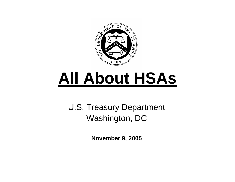

# **All About HSAs**

U.S. Treasury Department Washington, DC

**November 9, 2005**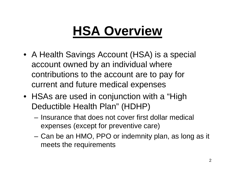#### **HSA Overview**

- A Health Savings Account (HSA) is a special account owned by an individual where contributions to the account are to pay for current and future medical expenses
- HSAs are used in conjunction with a "High Deductible Health Plan" (HDHP)
	- Insurance that does not cover first dollar medical expenses (except for preventive care)
	- Can be an HMO, PPO or indemnity plan, as long as it meets the requirements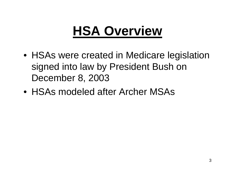#### **HSA Overview**

- HSAs were created in Medicare legislation signed into law by President Bush on December 8, 2003
- •HSAs modeled after Archer MSAs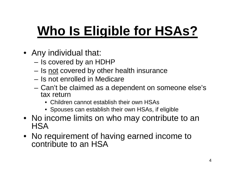- Any individual that:
	- –– Is covered by an HDHP
	- and the state of the – Is <u>not</u> covered by other health insurance
	- Is not enrolled in Medicare
	- Can't be claimed as a dependent on someone else's tax return
		- •Children cannot establish their own HSAs
		- Spouses can establish their own HSAs, if eligible
- No income limits on who may contribute to an HSA
- No requirement of having earned income to contribute to an HSA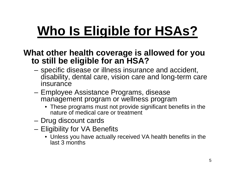#### **What other health coverage is allowed for you to still be eligible for an HSA?**

- specific disease or illness insurance and accident, disability, dental care, vision care and long-term care insurance
- Employee Assistance Programs, disease management program or wellness program
	- These programs must not provide significant benefits in the nature of medical care or treatment
- Drug discount cards
- Eligibility for VA Benefits
	- Unless you have actually received VA health benefits in the last 3 months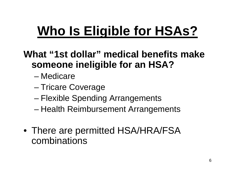#### **What "1st dollar" medical benefits make someone ineligible for an HSA?**

- –Medicare
- –– Tricare Coverage
- and the state of the state – Flexible Spending Arrangements
- and the state of the state – Health Reimbursement Arrangements
- There are permitted HSA/HRA/FSA combinations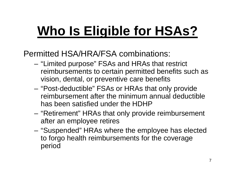Permitted HSA/HRA/FSA combinations:

- "Limited purpose" FSAs and HRAs that restrict reimbursements to certain permitted benefits such as vision, dental, or preventive care benefits
- "Post-deductible" FSAs or HRAs that only provide reimbursement after the minimum annual deductible has been satisfied under the HDHP
- "Retirement" HRAs that only provide reimbursement after an employee retires
- "Suspended" HRAs where the employee has elected to forgo health reimbursements for the coverage period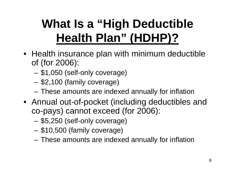- Health insurance plan with minimum deductible of (for 2006):
	- \$1,050 (self-only coverage)
	- \$2,100 (family coverage)
	- These amounts are indexed annually for inflation
- Annual out-of-pocket (including deductibles and co-pays) cannot exceed (for 2006):
	- \$5,250 (self-only coverage)
	- **Links of the Company** \$10,500 (family coverage)
	- These amounts are indexed annually for inflation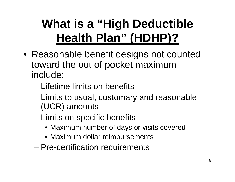- Reasonable benefit designs not counted toward the out of pocket maximum include:
	- –Lifetime limits on benefits
	- –– Limits to usual, customary and reasonable (UCR) amounts
	- and the state of the state – Limits on specific benefits
		- Maximum number of days or visits covered
		- •Maximum dollar reimbursements
	- and the state of the state – Pre-certification requirements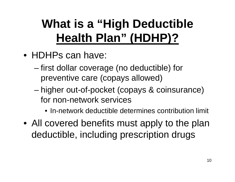- HDHPs can have:
	- –– first dollar coverage (no deductible) for preventive care (copays allowed)
	- and the state of the state higher out-of-pocket (copays & coinsurance) for non-network services
		- In-network deductible determines contribution limit
- All covered benefits must apply to the plan deductible, including prescription drugs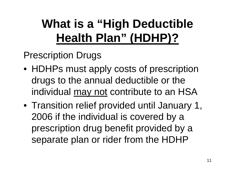Prescription Drugs

- HDHPs must apply costs of prescription drugs to the annual deductible or the individual may not contribute to an HSA
- Transition relief provided until January 1, 2006 if the individual is covered by a prescription drug benefit provided by a separate plan or rider from the HDHP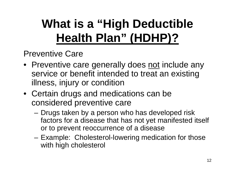Preventive Care

- Preventive care generally does not include any service or benefit intended to treat an existing illness, injury or condition
- Certain drugs and medications can be considered preventive care
	- Drugs taken by a person who has developed risk factors for a disease that has not yet manifested itself or to prevent reoccurrence of a disease
	- Example: Cholesterol-lowering medication for those with high cholesterol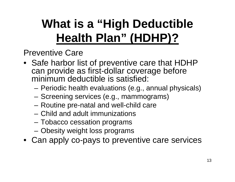Preventive Care

- Safe harbor list of preventive care that HDHP can provide as first-dollar coverage before minimum deductible is satisfied:
	- Periodic health evaluations (e.g., annual physicals)
	- Screening services (e.g., mammograms)
	- Routine pre-natal and well-child care
	- –Child and adult immunizations
	- Tobacco cessation programs
	- Obesity weight loss programs
- Can apply co-pays to preventive care services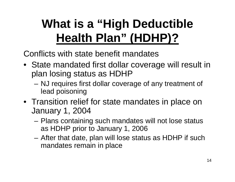Conflicts with state benefit mandates

- State mandated first dollar coverage will result in plan losing status as HDHP
	- NJ requires first dollar coverage of any treatment of lead poisoning
- Transition relief for state mandates in place on January 1, 2004
	- Plans containing such mandates will not lose status as HDHP prior to January 1, 2006
	- After that date, plan will lose status as HDHP if such mandates remain in place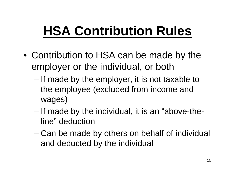- Contribution to HSA can be made by the employer or the individual, or both
	- and the state of the state  $-$  If made by the employer, it is not taxable to the employee (excluded from income and wages)
	- and the state of the state  $-$  If made by the individual, it is an "above-theline" deduction
	- –– Can be made by others on behalf of individual and deducted by the individual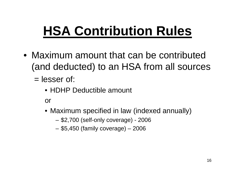- •Maximum amount that can be contributed (and deducted) to an HSA from all sources
	- = lesser of:
		- •HDHP Deductible amount

or

- Maximum specified in law (indexed annually)
	- \$2,700 (self-only coverage) 2006
	- \$5,450 (family coverage) 2006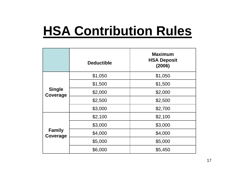|                           | <b>Deductible</b> | <b>Maximum</b><br><b>HSA Deposit</b><br>(2006) |
|---------------------------|-------------------|------------------------------------------------|
| <b>Single</b><br>Coverage | \$1,050           | \$1,050                                        |
|                           | \$1,500           | \$1,500                                        |
|                           | \$2,000           | \$2,000                                        |
|                           | \$2,500           | \$2,500                                        |
|                           | \$3,000           | \$2,700                                        |
| <b>Family</b><br>Coverage | \$2,100           | \$2,100                                        |
|                           | \$3,000           | \$3,000                                        |
|                           | \$4,000           | \$4,000                                        |
|                           | \$5,000           | \$5,000                                        |
|                           | \$6,000           | \$5,450                                        |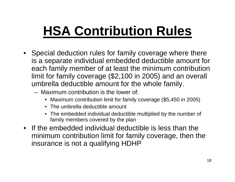- Special deduction rules for family coverage where there is a separate individual embedded deductible amount for each family member of at least the minimum contribution limit for family coverage (\$2,100 in 2005) and an overall umbrella deductible amount for the whole family.
	- –Maximum contribution is the lower of:
		- Maximum contribution limit for family coverage (\$5,450 in 2005)
		- •The umbrella deductible amount
		- The embedded individual deductible multiplied by the number of family members covered by the plan
- If the embedded individual deductible is less than the minimum contribution limit for family coverage, then the insurance is not a qualifying HDHP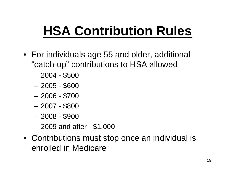- For individuals age 55 and older, additional "catch-up" contributions to HSA allowed
	- –2004 - \$500
	- –2005 - \$600
	- –2006 - \$700
	- –2007 - \$800
	- –2008 - \$900
	- 2009 and after \$1,000
- Contributions must stop once an individual is enrolled in Medicare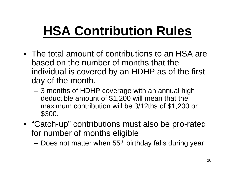- The total amount of contributions to an HSA are based on the number of months that the individual is covered by an HDHP as of the first day of the month.
	- 3 months of HDHP coverage with an annual high deductible amount of \$1,200 will mean that the maximum contribution will be 3/12ths of \$1,200 or \$300.
- "Catch-up" contributions must also be pro-rated for number of months eligible
	- Does not matter when 55th birthday falls during year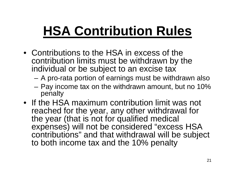- •Contributions to the HSA in excess of the contribution limits must be withdrawn by the individual or be subject to an excise tax
	- A pro-rata portion of earnings must be withdrawn also
	- Pay income tax on the withdrawn amount, but no 10% penalty
- If the HSA maximum contribution limit was not reached for the year, any other withdrawal for the year (that is not for qualified medical expenses) will not be considered "excess HSA contributions" and that withdrawal will be subject to both income tax and the 10% penalty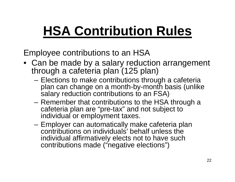Employee contributions to an HSA

- Can be made by a salary reduction arrangement through a cafeteria plan (125 plan)
	- Elections to make contributions through a cafeteria plan can change on a month-by-month basis (unlike salary reduction contributions to an FSA)
	- Remember that contributions to the HSA through a cafeteria plan are "pre-tax" and not subject to individual or employment taxes.
	- Employer can automatically make cafeteria plan contributions on individuals' behalf unless the individual affirmatively elects not to have such contributions made ("negative elections")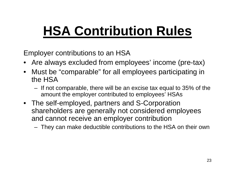Employer contributions to an HSA

- •Are always excluded from employees' income (pre-tax)
- Must be "comparable" for all employees participating in the HSA
	- $-$  If not comparable, there will be an excise tax equal to 35% of the amount the employer contributed to employees' HSAs
- The self-employed, partners and S-Corporation shareholders are generally not considered employees and cannot receive an employer contribution

– They can make deductible contributions to the HSA on their own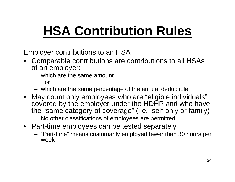Employer contributions to an HSA

- Comparable contributions are contributions to all HSAs of an employer:
	- –which are the same amount or
	- which are the same percentage of the annual deductible
- May count only employees who are "eligible individuals" covered by the employer under the HDHP and who have the "same category of coverage" (i.e., self-only or family) – No other classifications of employees are permitted
- Part-time employees can be tested separately
	- "Part-time" means customarily employed fewer than 30 hours per week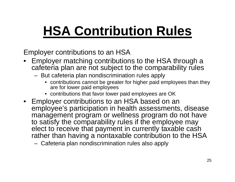Employer contributions to an HSA

- Employer matching contributions to the HSA through a cafeteria plan are not subject to the comparability rules
	- But cafeteria plan nondisc rimination rules apply
		- contributions cannot be greater for higher paid employees than they are for lower paid employees
		- contributions that favor lower paid employees are OK
- Employer contributions to an HSA based on an employee's participation in health assessments, disease management program or wellness program do not have to satisfy the comparability rules if the employee may elect to receive that payment in currently taxable cash rather than having a nontaxable contribution to the HSA
	- Cafeteria plan nondiscrimination rules also apply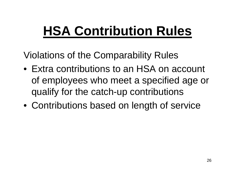Violations of the Comparability Rules

- Extra contributions to an HSA on account of employees who meet a specified age or qualify for the catch-up contributions
- Contributions based on length of service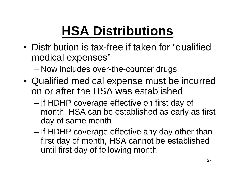• Distribution is tax-free if taken for "qualified medical expenses"

and the state of the state – Now includes over-the-counter drugs

- Qualified medical expense must be incurred on or after the HSA was established
	- and the state of the state – If HDHP coverage effective on first day of month, HSA can be established as early as first day of same month
	- and the state of the state  $-$  If HDHP coverage effective any day other than first day of month, HSA cannot be established until first day of following month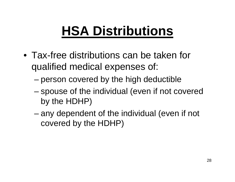- •Tax-free distributions can be taken for qualified medical expenses of:
	- and the state of the state person covered by the high deductible
	- – spouse of the individual (even if not covered by the HDHP)
	- and the state of the state – any dependent of the individual (even if not covered by the HDHP)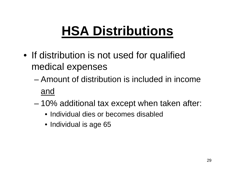- If distribution is not used for qualified medical expenses
	- –Amount of distribution is included in income and
	- and the state of the state 10% additional tax except when taken after:
		- Individual dies or becomes disabled
		- Individual is age 65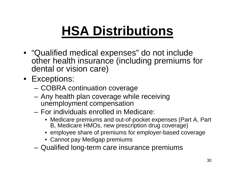- "Qualified medical expenses" do not include other health insurance (including premiums for dental or vision care)
- Exceptions:
	- COBRA continuation coverage
	- Any health plan coverage while receiving unemployment compensation
	- –For individuals enrolled in Medicare:
		- Medicare premiums and out-of-pocket expenses (Part A, Part B, Medic are HMOs, new prescription drug coverage)
		- employee share of premiums for employer-based coverage
		- Cannot pay Medigap premiums
	- Qualified long-term care insurance premiums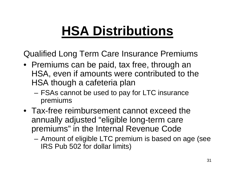Qualified Long Term Care Insurance Premiums

- Premiums can be paid, tax free, through an HSA, even if amounts were contributed to the HSA though a cafeteria plan
	- FSAs cannot be used to pay for LTC insurance premiums
- •Tax-free reimbursement cannot exceed the annually adjusted "eligible long-term care premiums" in the Internal Revenue Code
	- Amount of eligible LTC premium is based on age (see IRS Pub 502 for dollar limits)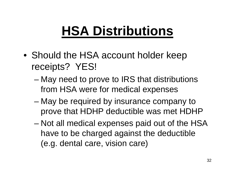- Should the HSA account holder keep receipts? YES!
	- and the state of the state May need to prove to IRS that distributions from HSA were for medical expenses
	- and the state of the state May be required by insurance company to prove that HDHP deductible was met HDHP
	- –– Not all medical expenses paid out of the HSA have to be charged against the deductible (e.g. dental care, vision care)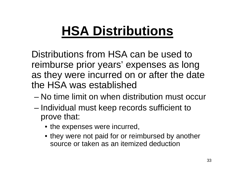Distributions from HSA can be used to reimburse prior years' expenses as long as they were incurred on or after the date the HSA was established

- –No time limit on when distribution must occur
- –– Individual must keep records sufficient to prove that:
	- the expenses were incurred,
	- they were not paid for or reimbursed by another source or taken as an itemized deduction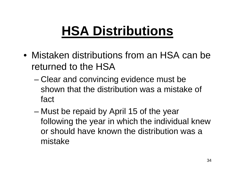- Mistaken distributions from an HSA can be returned to the HSA
	- and the state of the state – Clear and convincing evidence must be shown that the distribution was a mistake of fact
	- and the state of the state Must be repaid by April 15 of the year following the year in which the individual knew or should have known the distribution was a mistake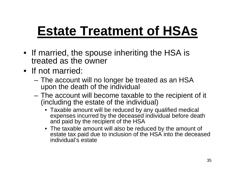#### **Estate Treatment of HSAs**

- If married, the spouse inheriting the HSA is treated as the owner
- If not married:
	- The account will no longer be treated as an HSA upon the death of the individual
	- The account will become taxable to the recipient of it (including the estate of the individual)
		- Taxable amount will be reduced by any qualified medical expenses incurred by the deceased individual before death and paid by the recipient of the HSA
		- The taxable amount will also be reduced by the amount of estate tax paid due to inclusion of the HSA into the deceased individual's estate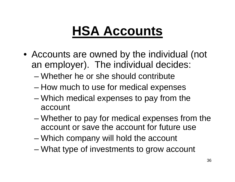- Accounts are owned by the individual (not an employer). The individual decides:
	- –Whether he or she should contribute
	- –– How much to use for medical expenses
	- and the state of the state Which medical expenses to pay from the account
	- – Whether to pay for medical expenses from the account or save the account for future use
	- and the state of the state Which company will hold the account
	- –What type of investments to grow account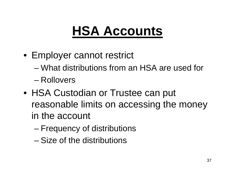- Employer cannot restrict
	- –What distributions from an HSA are used for
	- Rollovers
- HSA Custodian or Trustee can put reasonable limits on accessing the money in the account
	- –– Frequency of distributions
	- –Size of the distributions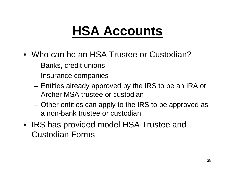- •Who can be an HSA Trustee or Custodian?
	- Banks, credit unions
	- **Links of the Company** – Insurance companies
	- Entities already approved by the IRS to be an IRA or Archer MSA trustee or custodian
	- – Other entities can apply to the IRS to be approved as a non-bank trustee or custodian
- IRS has provided model HSA Trustee and Custodian Forms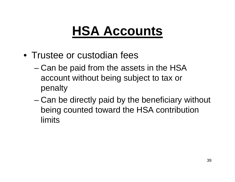- Trustee or custodian fees
	- –– Can be paid from the assets in the HSA account without being subject to tax or penalty
	- – Can be directly paid by the beneficiary without being counted toward the HSA contribution limits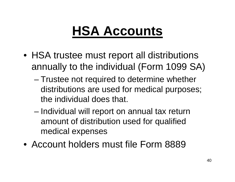- HSA trustee must report all distributions annually to the individual (Form 1099 SA)
	- and the state of the state – Trustee not required to determine whether distributions are used for medical purposes; the individual does that.
	- and the state of the state – Individual will report on annual tax return amount of distribution used for qualified medical expenses
- Account holders must file Form 8889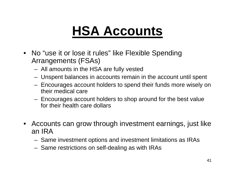- No "use it or lose it rules" like Flexible Spending Arrangements (FSAs)
	- All amounts in the HSA are fully vested
	- Unspent balances in accounts remain in the account until spent
	- Encourages account holders to spend their funds more wisely on their medical care
	- Encourages account holders to shop around for the best value for their health care dollars
- $\bullet$ Accounts can grow through investment earnings, just like an IRA
	- Same inv estment options and investment limitations as IRAs
	- Same restrictions on self-dealing as with IRAs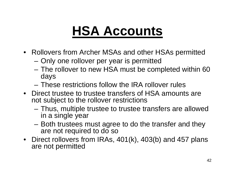- Rollovers from Archer MSAs and other HSAs permitted
	- Only one rollover per year is permitted
	- The rollover to new HSA must be completed within 60 days
	- –These restrictions follow the IRA rollover rules
- Direct trustee to trustee transfers of HSA amounts are not subject to the rollover restrictions
	- Thus, multiple trustee to trustee transfers are allowed in a single year
	- Both trustees must agree to do the transfer and they are not required to do so
- Direct rollovers from IRAs, 401(k), 403(b) and 457 plans are not permitted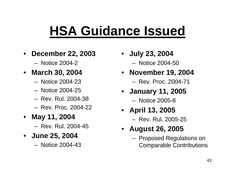#### **HSA Guidance Issued**

- • **December 22, 2003**
	- –Notice 2004-2
- **March 30, 2004**
	- –Notice 2004-23
	- –Notice 2004-25
	- –Rev. Rul. 2004-38
	- –Rev. Proc. 2004-22
- **May 11, 2004**
	- –Rev. Rul. 2004-45
- **June 25, 2004**
	- Notice 2004-43
- **July 23, 2004** –Notice 2004-50
- **November 19, 2004**
	- –Rev. Proc. 2004-71
- **January 11, 2005**
	- –Notice 2005-8
- **April 13, 2005**
	- –Rev. Rul. 2005-25
- **August 26, 2005**
	- Proposed Regulations on Comparable Contributions